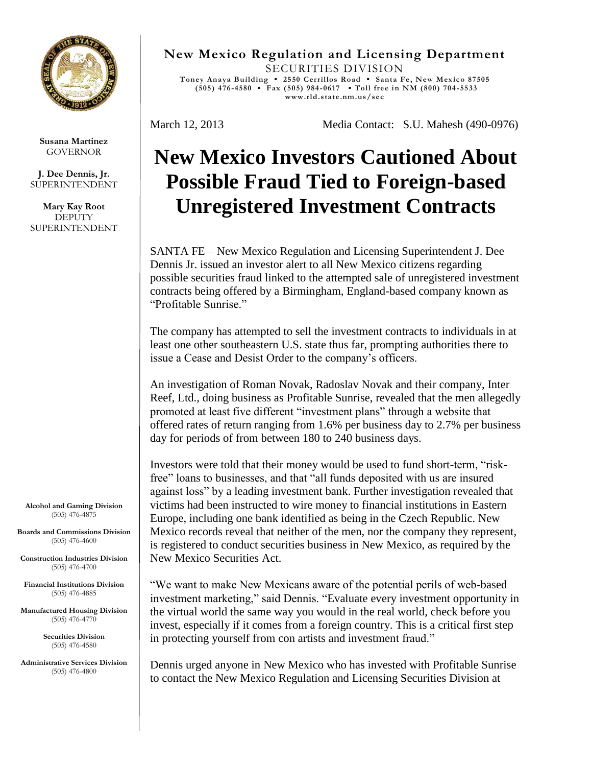

**Susana Martinez** GOVERNOR

**J. Dee Dennis, Jr.** SUPERINTENDENT

**Mary Kay Root DEPUTY** SUPERINTENDENT

**Alcohol and Gaming Division** (505) 476-4875

**Boards and Commissions Division** (505) 476-4600

**Construction Industries Division** (505) 476-4700

**Financial Institutions Division** (505) 476-4885

**Manufactured Housing Division** (505) 476-4770

> **Securities Division** (505) 476-4580

**Administrative Services Division** (505) 476-4800

**New Mexico Regulation and Licensing Department** SECURITIES DIVISION **Toney Anaya Building ▪ 2550 Cerrillos Road ▪ Santa Fe, New Mexico 87505 (505) 476-4580 ▪ Fax (505) 984 -0617 ▪ Toll free in NM (800) 704 -5533 www.rld.state.nm.us/sec**

March 12, 2013 Media Contact: S.U. Mahesh (490-0976)

## **New Mexico Investors Cautioned About Possible Fraud Tied to Foreign-based Unregistered Investment Contracts**

SANTA FE – New Mexico Regulation and Licensing Superintendent J. Dee Dennis Jr. issued an investor alert to all New Mexico citizens regarding possible securities fraud linked to the attempted sale of unregistered investment contracts being offered by a Birmingham, England-based company known as "Profitable Sunrise."

The company has attempted to sell the investment contracts to individuals in at least one other southeastern U.S. state thus far, prompting authorities there to issue a Cease and Desist Order to the company's officers.

An investigation of Roman Novak, Radoslav Novak and their company, Inter Reef, Ltd., doing business as Profitable Sunrise, revealed that the men allegedly promoted at least five different "investment plans" through a website that offered rates of return ranging from 1.6% per business day to 2.7% per business day for periods of from between 180 to 240 business days.

Investors were told that their money would be used to fund short-term, "riskfree" loans to businesses, and that "all funds deposited with us are insured against loss" by a leading investment bank. Further investigation revealed that victims had been instructed to wire money to financial institutions in Eastern Europe, including one bank identified as being in the Czech Republic. New Mexico records reveal that neither of the men, nor the company they represent, is registered to conduct securities business in New Mexico, as required by the New Mexico Securities Act.

"We want to make New Mexicans aware of the potential perils of web-based investment marketing," said Dennis. "Evaluate every investment opportunity in the virtual world the same way you would in the real world, check before you invest, especially if it comes from a foreign country. This is a critical first step in protecting yourself from con artists and investment fraud."

Dennis urged anyone in New Mexico who has invested with Profitable Sunrise to contact the New Mexico Regulation and Licensing Securities Division at